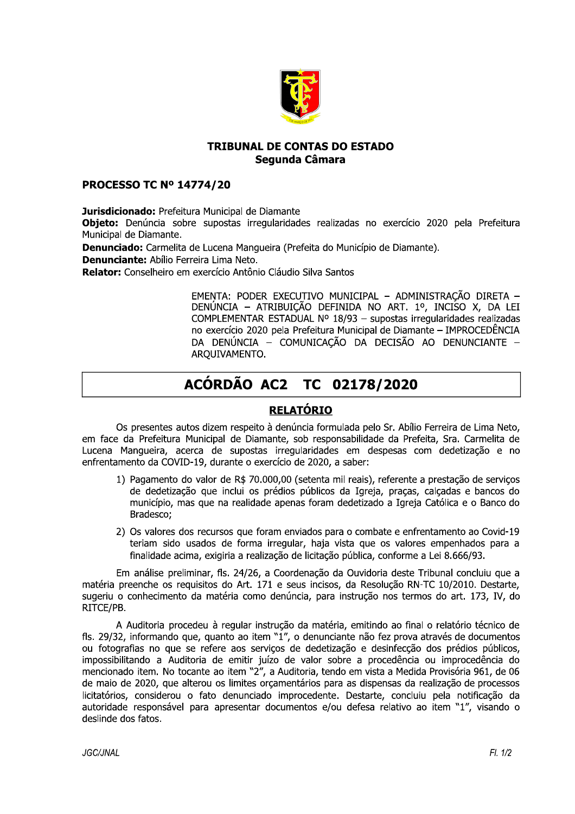

#### **IRIBUNAL DE CONTAS DO ESTADO** Segunda Câmara

### **PROCESSO IC N° 14774/20**

**TRIBUNAL DE CONTAS DO ESTADO<br>
Segunda Câmara<br>
PROCESSO TC Nº 14774/20<br>
Jurisdicionado: Prefeitura Municipal de Diamante<br>
Objeto: Denúncia sobre supostas irregularidades realizadas no exercício 2020 pela Prefeitura<br>
Munici** 

# ACÓRDÃO AC2 TC 02178/2020

## <u>KELATUKIU</u>

Os presentes autos dizem respeito à denúncia formulada pelo Sr. Abílio Ferreira de Lima Neto, em face da Prefeitura Municipal de Diamante, sob responsabilidade da Prefeita, Sra. Carmelita de<br>Lucena Mangueira, acerca de supostas irregularidades em despesas com dedetizacão e no enfrentamento da COVID-19, durante o exercício de 2020, a saber:

- 1) Pagamento do valor de R\$ 70.000,00 (setenta mil reais), referente a prestação de serviços de dedetização que inclui os prédios públicos da Igreja, pracas, calcadas e bancos do município, mas que na realidade apenas foram dedetizado a Igreja Católica e o Banco do Bradesco;
- 2) Os valores dos recursos que foram enviados para o combate e enfrentamento ao Covid-19 teriam sido usados de forma irregular, haja vista que os valores empenhados para a finalidade acima, exigiria a realização de licitação pública, conforme a Lei 8.666/93.

Em análise preliminar, fls. 24/26, a Coordenação da Ouvidoria deste Tribunal concluiu que a matéria preenche os requisitos do Art. 171 e seus incisos, da Resolução RN-TC 10/2010. Destarte,<br>sugeriu o conhecimento da matéria como denúncia, para instrução nos termos do art. 173, IV, do RITCE/PB.<br>A Auditoria procedeu à regular instrução da matéria, emitindo ao final o relatório técnico de

fls. 29/32, informando que, quanto ao item "1", o denunciante não fez prova através de documentos ou fotografias no que se refere aos servicos de dedetização e desinfecção dos prédios públicos, impossibilitando a Auditoria de emitir juízo de valor sobre a procedência ou improcedência do mencionado item. No tocante ao item "2", a Auditoria, tendo em vista a Medida Provisória 961, de 06 de maio de 2020, que alterou os limites orcamentários para as dispensas da realização de processos licitatórios, considerou o fato denunciado improcedente. Destarte, concluiu pela notificacão da autoridade responsável para apresentar documentos e/ou defesa relativo ao item "1", visando o deslinde dos fatos.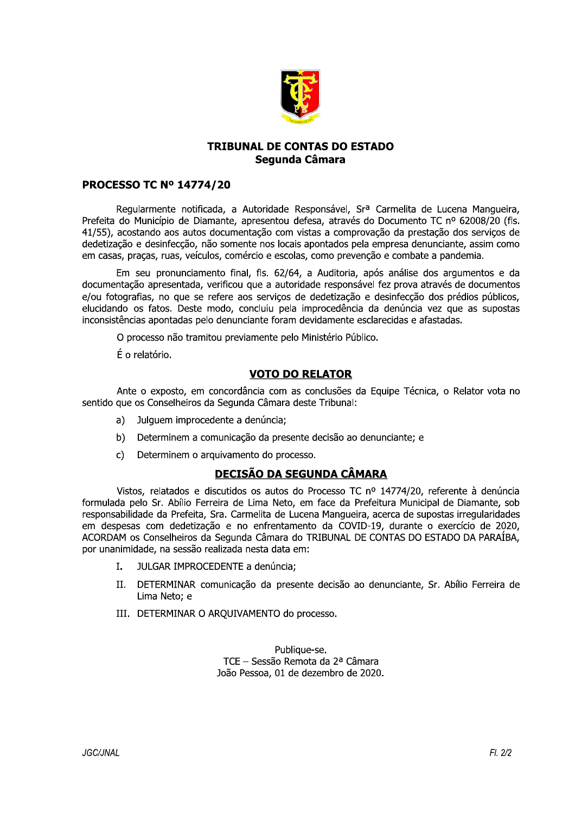

#### **TRIBUNAL DE CONTAS DO ESTADO** Segunda Câmara

#### **PROCESSO TC Nº 14774/20**

Regularmente notificada, a Autoridade Responsável, Srª Carmelita de Lucena Mangueira, Prefeita do Município de Diamante, apresentou defesa, através do Documento TC nº 62008/20 (fls. 41/55), acostando aos autos documentação com vistas a comprovação da prestação dos servicos de dedetização e desinfecção, não somente nos locais apontados pela empresa denunciante, assim como em casas, pracas, ruas, veículos, comércio e escolas, como prevenção e combate a pandemia.

Em seu pronunciamento final, fls. 62/64, a Auditoria, após análise dos argumentos e da documentação apresentada, verificou que a autoridade responsável fez prova através de documentos e/ou fotografias, no que se refere aos serviços de dedetização e desinfecção dos prédios públicos, elucidando os fatos. Deste modo, concluiu pela improcedência da denúncia vez que as supostas inconsistências apontadas pelo denunciante foram devidamente esclarecidas e afastadas.

O processo não tramitou previamente pelo Ministério Público.

É o relatório.

#### **VOTO DO RELATOR**

Ante o exposto, em concordância com as conclusões da Equipe Técnica, o Relator vota no sentido que os Conselheiros da Segunda Câmara deste Tribunal:

- a) Julquem improcedente a denúncia;
- b) Determinem a comunicação da presente decisão ao denunciante; e
- c) Determinem o arquivamento do processo.

#### **DECISÃO DA SEGUNDA CÂMARA**

Vistos, relatados e discutidos os autos do Processo TC nº 14774/20, referente à denúncia formulada pelo Sr. Abílio Ferreira de Lima Neto, em face da Prefeitura Municipal de Diamante, sob responsabilidade da Prefeita, Sra. Carmelita de Lucena Manqueira, acerca de supostas irregularidades em despesas com dedetização e no enfrentamento da COVID-19, durante o exercício de 2020, ACORDAM os Conselheiros da Segunda Câmara do TRIBUNAL DE CONTAS DO ESTADO DA PARAÍBA, por unanimidade, na sessão realizada nesta data em:

- $\mathbf{I}$ . JULGAR IMPROCEDENTE a denúncia;
- $II.$ DETERMINAR comunicação da presente decisão ao denunciante, Sr. Abílio Ferreira de Lima Neto; e
- III. DETERMINAR O AROUIVAMENTO do processo.

Publique-se. TCE - Sessão Remota da 2ª Câmara João Pessoa, 01 de dezembro de 2020.